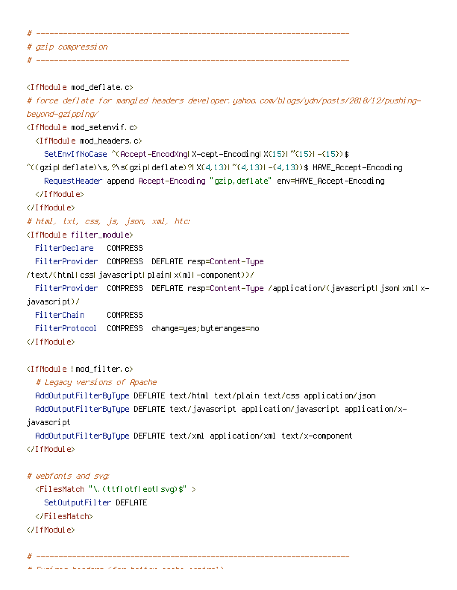| ., |                    |
|----|--------------------|
|    | # gzip compression |
|    |                    |

<IfModule mod\_deflate.c>

# force deflate for mangled headers developer.yahoo.com/blogs/ydn/posts/2010/12/pushingbeyond-gzipping/

<IfModule mod\_setenvif.c>

<IfModule mod\_headers.c>

SetEnvIfNoCase ^(Accept-EncodXng|X-cept-Encoding|X{15}|~{15}|-{15})\$

 $^{\sim}$ ((gziplideflate)\s,?\s(gziplideflate)?|X{4,13}|~{4,13}|-{4,13})\$ HAVE\_Accept-Encoding

RequestHeader append Accept-Encoding "gzip,deflate" env=HAVE\_Accept-Encoding

</IfModule>

</IfModule>

# html, txt, css, js, json, xml, htc:

<IfModule filter\_module>

FilterDeclare COMPRESS

FilterProvider COMPRESS DEFLATE resp=Content-Type

/text/(html|css|javascript|plain|x(ml|-component))/

```
FilterProvider COMPRESS DEFLATE resp=Content-Type /application/(javascriptLjsonLxmlLx-
javascript)/
```
FilterChain COMPRESS

FilterProtocol COMPRESS change=yes;byteranges=no

</IfModule>

<IfModule !mod\_filter.c>

# Legacy versions of Apache

```
AddOutputFilterByType DEFLATE text/html text/plain text/css application/json
 AddOutputFilterByType DEFLATE text/javascript application/javascript application/x-
javascript
```
AddOutputFilterByType DEFLATE text/xml application/xml text/x-component

</IfModule>

```
# webfonts and svg:
 <FilesMatch "\.(ttf|otf|eot|svg)$" >
    SetOutputFilter DEFLATE
 </FilesMatch>
```
</IfModule>

# ---------------------------------------------------------------------- # Expires headers (for better cache control)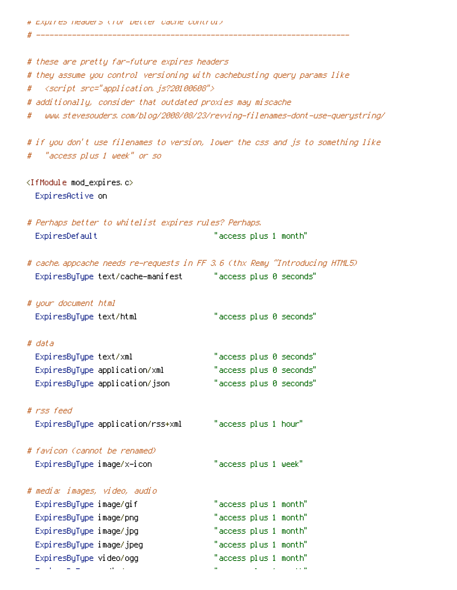# ----------------------------------------------------------------------

| # these are pretty far-future expires headers<br># they assume you control versioning with cachebusting query params like<br># <script src="application.js?20100608"></script> |
|--------------------------------------------------------------------------------------------------------------------------------------------------------------------------------|
|--------------------------------------------------------------------------------------------------------------------------------------------------------------------------------|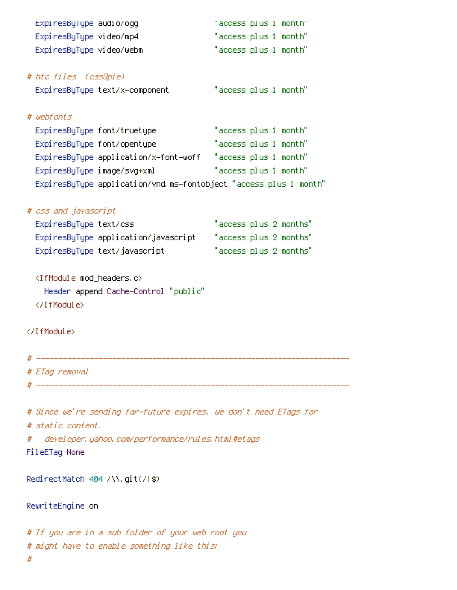| Expi resByType audio/ogg                                          | "access plus 1 month"  |
|-------------------------------------------------------------------|------------------------|
| ExpiresByType video/mp4                                           | "access plus 1 month"  |
| ExpiresByType video/webm                                          | "access plus 1 month"  |
| # htc files (css3pie)                                             |                        |
| ExpiresByType text/x-component                                    | "access plus 1 month"  |
| # webfonts                                                        |                        |
| ExpiresByType font/truetype                                       | "access plus 1 month"  |
| ExpiresByType font/opentype                                       | "access plus 1 month"  |
| ExpiresByType application/x-font-woff "access plus 1 month"       |                        |
| ExpiresByType image/svg+xml                                       | "access plus 1 month"  |
| ExpiresByType application/vnd.ms-fontobject "access plus 1 month" |                        |
|                                                                   |                        |
| # css and javascript                                              |                        |
| ExpiresByType text/css                                            | "access plus 2 months" |
| ExpiresByType application/javascript                              | "access plus 2 months" |
| ExpiresByType text/javascript                                     | "access plus 2 months" |
| <ifmodule mod_headers.c=""></ifmodule>                            |                        |
| Header append Cache-Control "public"                              |                        |
|                                                                   |                        |
|                                                                   |                        |
|                                                                   |                        |
|                                                                   |                        |
|                                                                   |                        |
| # ETag removal                                                    |                        |
|                                                                   |                        |
| # Since we're sending far-future expires, we don't need ETags for |                        |
| # static content.                                                 |                        |

# developer.yahoo.com/performance/rules.html#etags

FileETag None

RedirectMatch 404 /\\.git(/|\$)

RewriteEngine on

# If you are in <sup>a</sup> sub folder of your web root you # might have to enable something like this: